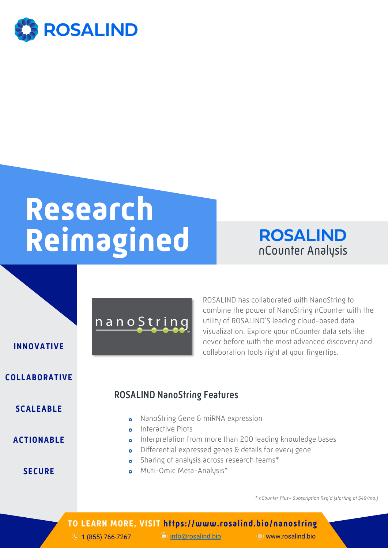

# **Research Reimagined**



ROSALIND has collaborated with NanoString to

utility of ROSALIND'S leading cloud-based data visualization. Explore your nCounter data sets like never before with the most advanced discovery and

combine the power of NanoString nCounter with the

collaboration tools right at your fingertips. **INNOVATIVE**

#### **COLLABORATIVE**

#### **SCALEABLE**

**ACTIONABLE**

**SECURE**

### ROSALIND NanoString Features

- **o** NanoString Gene & miRNA expression
- **o** Interactive Plots

nanoString

- **o** Interpretation from more than 200 leading knowledge bases
- o Differential expressed genes & details for every gene
- **o** Sharing of analysis across research teams\*
- Muti-Omic Meta-Analysis\* é.

*\* nCounter Plus+ Subscription Req'd (starting at \$49/mo.)*

#### **TO LEARN MORE, VISIT https://www.rosalind.bio/nanostring**

 $\circledcirc$  1 (855) 766-7267 info@rosalind.bio www.rosalind.bio